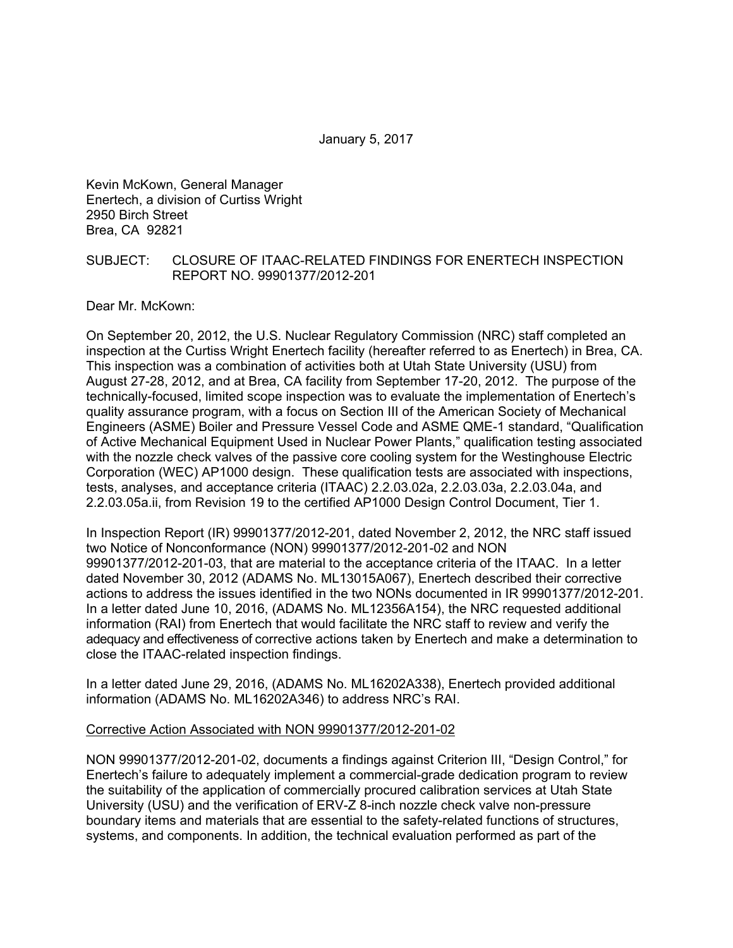January 5, 2017

Kevin McKown, General Manager Enertech, a division of Curtiss Wright 2950 Birch Street Brea, CA 92821

#### SUBJECT: CLOSURE OF ITAAC-RELATED FINDINGS FOR ENERTECH INSPECTION REPORT NO. 99901377/2012-201

Dear Mr. McKown:

On September 20, 2012, the U.S. Nuclear Regulatory Commission (NRC) staff completed an inspection at the Curtiss Wright Enertech facility (hereafter referred to as Enertech) in Brea, CA. This inspection was a combination of activities both at Utah State University (USU) from August 27-28, 2012, and at Brea, CA facility from September 17-20, 2012. The purpose of the technically-focused, limited scope inspection was to evaluate the implementation of Enertech's quality assurance program, with a focus on Section III of the American Society of Mechanical Engineers (ASME) Boiler and Pressure Vessel Code and ASME QME-1 standard, "Qualification of Active Mechanical Equipment Used in Nuclear Power Plants," qualification testing associated with the nozzle check valves of the passive core cooling system for the Westinghouse Electric Corporation (WEC) AP1000 design. These qualification tests are associated with inspections, tests, analyses, and acceptance criteria (ITAAC) 2.2.03.02a, 2.2.03.03a, 2.2.03.04a, and 2.2.03.05a.ii, from Revision 19 to the certified AP1000 Design Control Document, Tier 1.

In Inspection Report (IR) 99901377/2012-201, dated November 2, 2012, the NRC staff issued two Notice of Nonconformance (NON) 99901377/2012-201-02 and NON 99901377/2012-201-03, that are material to the acceptance criteria of the ITAAC. In a letter dated November 30, 2012 (ADAMS No. ML13015A067), Enertech described their corrective actions to address the issues identified in the two NONs documented in IR 99901377/2012-201. In a letter dated June 10, 2016, (ADAMS No. ML12356A154), the NRC requested additional information (RAI) from Enertech that would facilitate the NRC staff to review and verify the adequacy and effectiveness of corrective actions taken by Enertech and make a determination to close the ITAAC-related inspection findings.

In a letter dated June 29, 2016, (ADAMS No. ML16202A338), Enertech provided additional information (ADAMS No. ML16202A346) to address NRC's RAI.

#### Corrective Action Associated with NON 99901377/2012-201-02

NON 99901377/2012-201-02, documents a findings against Criterion III, "Design Control," for Enertech's failure to adequately implement a commercial-grade dedication program to review the suitability of the application of commercially procured calibration services at Utah State University (USU) and the verification of ERV-Z 8-inch nozzle check valve non-pressure boundary items and materials that are essential to the safety-related functions of structures, systems, and components. In addition, the technical evaluation performed as part of the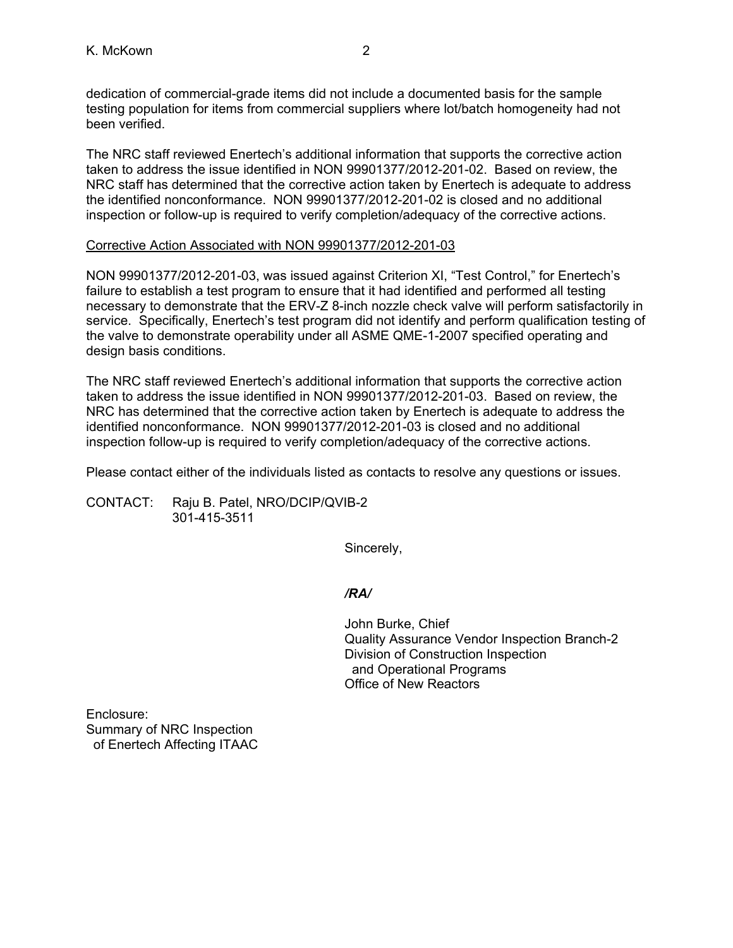dedication of commercial-grade items did not include a documented basis for the sample testing population for items from commercial suppliers where lot/batch homogeneity had not been verified.

The NRC staff reviewed Enertech's additional information that supports the corrective action taken to address the issue identified in NON 99901377/2012-201-02. Based on review, the NRC staff has determined that the corrective action taken by Enertech is adequate to address the identified nonconformance. NON 99901377/2012-201-02 is closed and no additional inspection or follow-up is required to verify completion/adequacy of the corrective actions.

### Corrective Action Associated with NON 99901377/2012-201-03

NON 99901377/2012-201-03, was issued against Criterion XI, "Test Control," for Enertech's failure to establish a test program to ensure that it had identified and performed all testing necessary to demonstrate that the ERV-Z 8-inch nozzle check valve will perform satisfactorily in service. Specifically, Enertech's test program did not identify and perform qualification testing of the valve to demonstrate operability under all ASME QME-1-2007 specified operating and design basis conditions.

The NRC staff reviewed Enertech's additional information that supports the corrective action taken to address the issue identified in NON 99901377/2012-201-03. Based on review, the NRC has determined that the corrective action taken by Enertech is adequate to address the identified nonconformance. NON 99901377/2012-201-03 is closed and no additional inspection follow-up is required to verify completion/adequacy of the corrective actions.

Please contact either of the individuals listed as contacts to resolve any questions or issues.

CONTACT: Raju B. Patel, NRO/DCIP/QVIB-2 301-415-3511

Sincerely,

# */RA/*

John Burke, Chief Quality Assurance Vendor Inspection Branch-2 Division of Construction Inspection and Operational Programs Office of New Reactors

Enclosure: Summary of NRC Inspection of Enertech Affecting ITAAC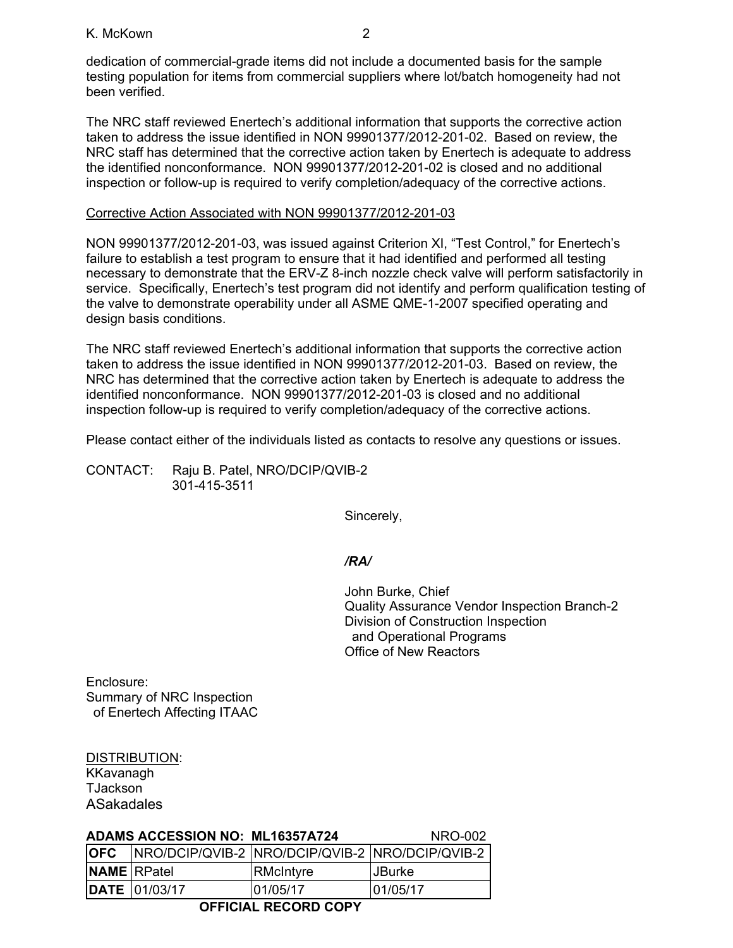#### K. McKown 2

dedication of commercial-grade items did not include a documented basis for the sample testing population for items from commercial suppliers where lot/batch homogeneity had not been verified.

The NRC staff reviewed Enertech's additional information that supports the corrective action taken to address the issue identified in NON 99901377/2012-201-02. Based on review, the NRC staff has determined that the corrective action taken by Enertech is adequate to address the identified nonconformance. NON 99901377/2012-201-02 is closed and no additional inspection or follow-up is required to verify completion/adequacy of the corrective actions.

### Corrective Action Associated with NON 99901377/2012-201-03

NON 99901377/2012-201-03, was issued against Criterion XI, "Test Control," for Enertech's failure to establish a test program to ensure that it had identified and performed all testing necessary to demonstrate that the ERV-Z 8-inch nozzle check valve will perform satisfactorily in service. Specifically, Enertech's test program did not identify and perform qualification testing of the valve to demonstrate operability under all ASME QME-1-2007 specified operating and design basis conditions.

The NRC staff reviewed Enertech's additional information that supports the corrective action taken to address the issue identified in NON 99901377/2012-201-03. Based on review, the NRC has determined that the corrective action taken by Enertech is adequate to address the identified nonconformance. NON 99901377/2012-201-03 is closed and no additional inspection follow-up is required to verify completion/adequacy of the corrective actions.

Please contact either of the individuals listed as contacts to resolve any questions or issues.

CONTACT: Raju B. Patel, NRO/DCIP/QVIB-2 301-415-3511

Sincerely,

## */RA/*

John Burke, Chief Quality Assurance Vendor Inspection Branch-2 Division of Construction Inspection and Operational Programs Office of New Reactors

Enclosure: Summary of NRC Inspection of Enertech Affecting ITAAC

DISTRIBUTION: KKavanagh **TJackson** ASakadales

|                             | <b>ADAMS ACCESSION NO: ML16357A724</b> |                                                 | NRO-002       |  |  |  |
|-----------------------------|----------------------------------------|-------------------------------------------------|---------------|--|--|--|
| <b>OFC</b>                  |                                        | NRO/DCIP/QVIB-2 NRO/DCIP/QVIB-2 NRO/DCIP/QVIB-2 |               |  |  |  |
| <b>NAME</b> RPatel          |                                        | RMcIntyre                                       | <b>JBurke</b> |  |  |  |
|                             | <b>DATE</b> 01/03/17                   | 01/05/17                                        | 01/05/17      |  |  |  |
| <b>OFFICIAL RECORD COPY</b> |                                        |                                                 |               |  |  |  |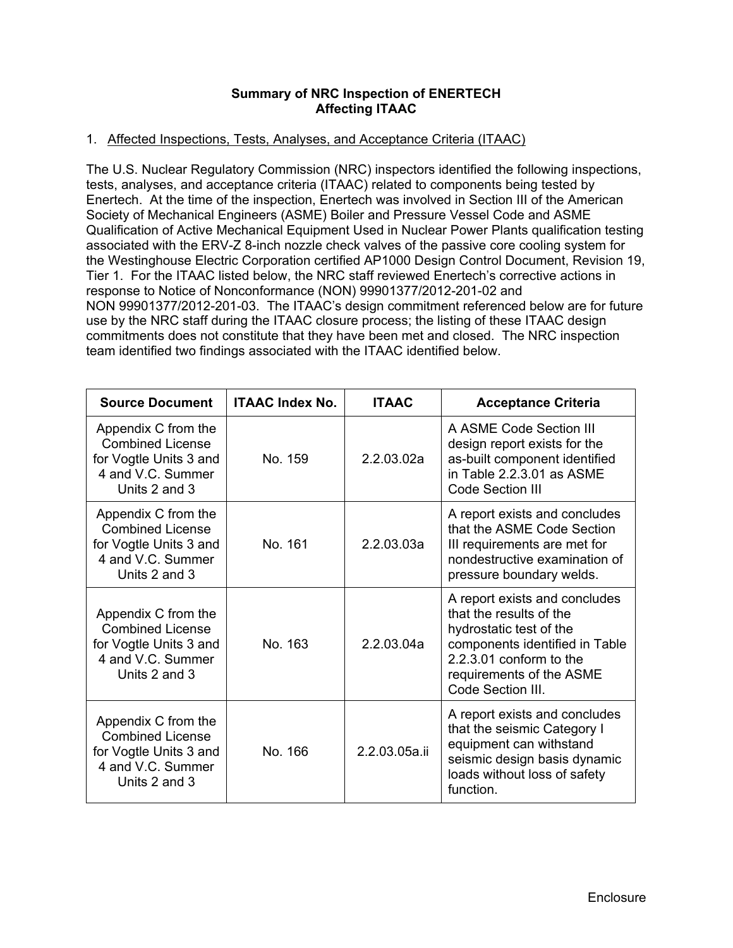## **Summary of NRC Inspection of ENERTECH Affecting ITAAC**

## 1. Affected Inspections, Tests, Analyses, and Acceptance Criteria (ITAAC)

The U.S. Nuclear Regulatory Commission (NRC) inspectors identified the following inspections, tests, analyses, and acceptance criteria (ITAAC) related to components being tested by Enertech. At the time of the inspection, Enertech was involved in Section III of the American Society of Mechanical Engineers (ASME) Boiler and Pressure Vessel Code and ASME Qualification of Active Mechanical Equipment Used in Nuclear Power Plants qualification testing associated with the ERV-Z 8-inch nozzle check valves of the passive core cooling system for the Westinghouse Electric Corporation certified AP1000 Design Control Document, Revision 19, Tier 1. For the ITAAC listed below, the NRC staff reviewed Enertech's corrective actions in response to Notice of Nonconformance (NON) 99901377/2012-201-02 and NON 99901377/2012-201-03. The ITAAC's design commitment referenced below are for future use by the NRC staff during the ITAAC closure process; the listing of these ITAAC design commitments does not constitute that they have been met and closed. The NRC inspection team identified two findings associated with the ITAAC identified below.

| <b>Source Document</b>                                                                                         | <b>ITAAC Index No.</b> | <b>ITAAC</b>  | <b>Acceptance Criteria</b>                                                                                                                                                                        |  |
|----------------------------------------------------------------------------------------------------------------|------------------------|---------------|---------------------------------------------------------------------------------------------------------------------------------------------------------------------------------------------------|--|
| Appendix C from the<br><b>Combined License</b><br>for Vogtle Units 3 and<br>4 and V.C. Summer<br>Units 2 and 3 | No. 159                | 2.2.03.02a    | A ASME Code Section III<br>design report exists for the<br>as-built component identified<br>in Table 2.2.3.01 as ASME<br><b>Code Section III</b>                                                  |  |
| Appendix C from the<br><b>Combined License</b><br>for Vogtle Units 3 and<br>4 and V.C. Summer<br>Units 2 and 3 | No. 161                | 2.2.03.03a    | A report exists and concludes<br>that the ASME Code Section<br>III requirements are met for<br>nondestructive examination of<br>pressure boundary welds.                                          |  |
| Appendix C from the<br><b>Combined License</b><br>for Vogtle Units 3 and<br>4 and V.C. Summer<br>Units 2 and 3 | No. 163                | 2.2.03.04a    | A report exists and concludes<br>that the results of the<br>hydrostatic test of the<br>components identified in Table<br>2.2.3.01 conform to the<br>requirements of the ASME<br>Code Section III. |  |
| Appendix C from the<br><b>Combined License</b><br>for Vogtle Units 3 and<br>4 and V.C. Summer<br>Units 2 and 3 | No. 166                | 2.2.03.05a.ii | A report exists and concludes<br>that the seismic Category I<br>equipment can withstand<br>seismic design basis dynamic<br>loads without loss of safety<br>function.                              |  |